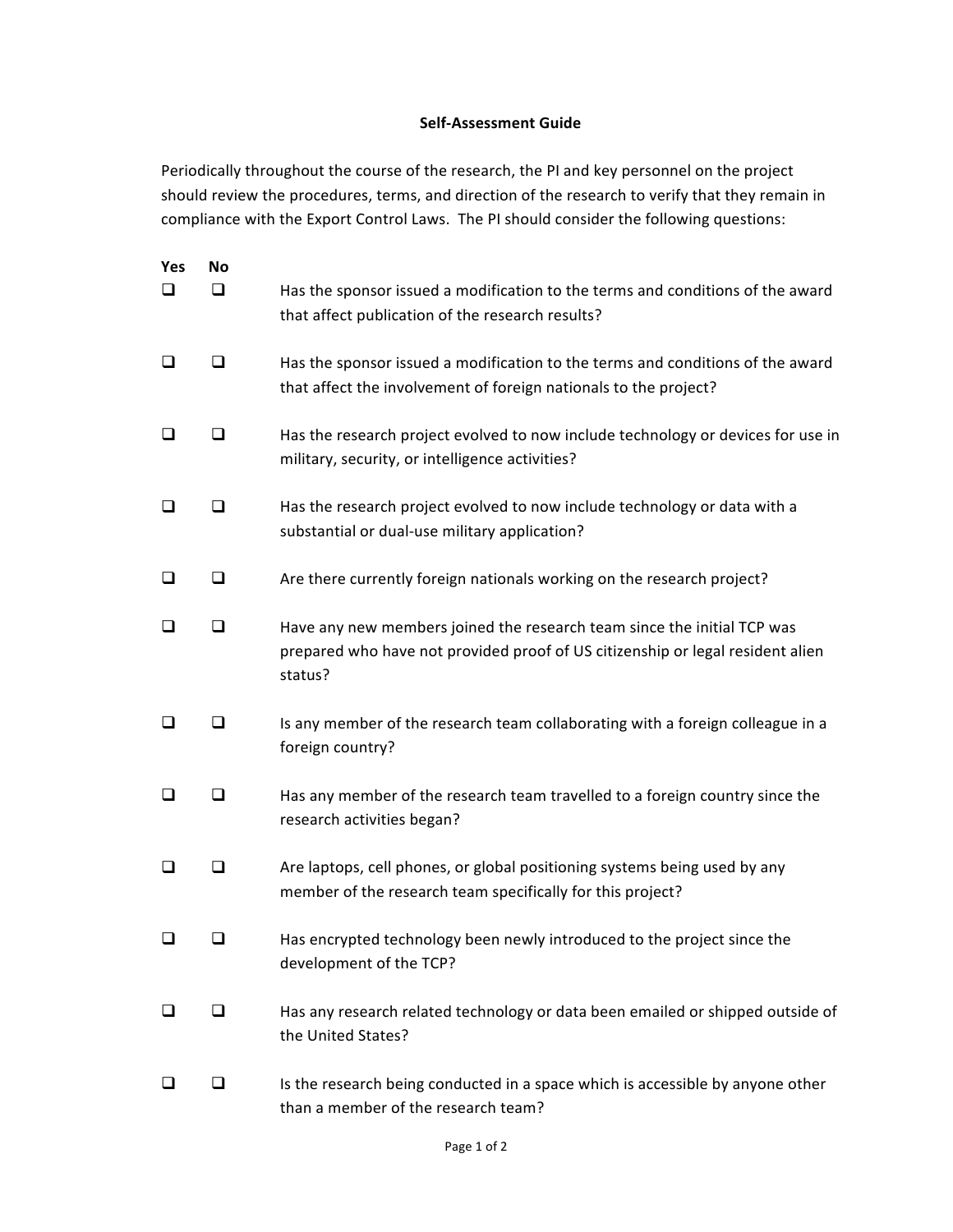## Self-Assessment Guide

Periodically throughout the course of the research, the PI and key personnel on the project should review the procedures, terms, and direction of the research to verify that they remain in compliance with the Export Control Laws. The PI should consider the following questions:

| Yes<br>ப | <b>No</b><br>ப | Has the sponsor issued a modification to the terms and conditions of the award<br>that affect publication of the research results?                                   |
|----------|----------------|----------------------------------------------------------------------------------------------------------------------------------------------------------------------|
| ⊔        | ப              | Has the sponsor issued a modification to the terms and conditions of the award<br>that affect the involvement of foreign nationals to the project?                   |
| □        | □              | Has the research project evolved to now include technology or devices for use in<br>military, security, or intelligence activities?                                  |
| □        | □              | Has the research project evolved to now include technology or data with a<br>substantial or dual-use military application?                                           |
| ⊔        | ❏              | Are there currently foreign nationals working on the research project?                                                                                               |
| □        | □              | Have any new members joined the research team since the initial TCP was<br>prepared who have not provided proof of US citizenship or legal resident alien<br>status? |
| ப        | □              | Is any member of the research team collaborating with a foreign colleague in a<br>foreign country?                                                                   |
| ப        | □              | Has any member of the research team travelled to a foreign country since the<br>research activities began?                                                           |
| ⊔        | ⊔              | Are laptops, cell phones, or global positioning systems being used by any<br>member of the research team specifically for this project?                              |
| ப        | ⊔              | Has encrypted technology been newly introduced to the project since the<br>development of the TCP?                                                                   |
|          | ⊔              | Has any research related technology or data been emailed or shipped outside of<br>the United States?                                                                 |
| ப        | ⊔              | Is the research being conducted in a space which is accessible by anyone other<br>than a member of the research team?                                                |